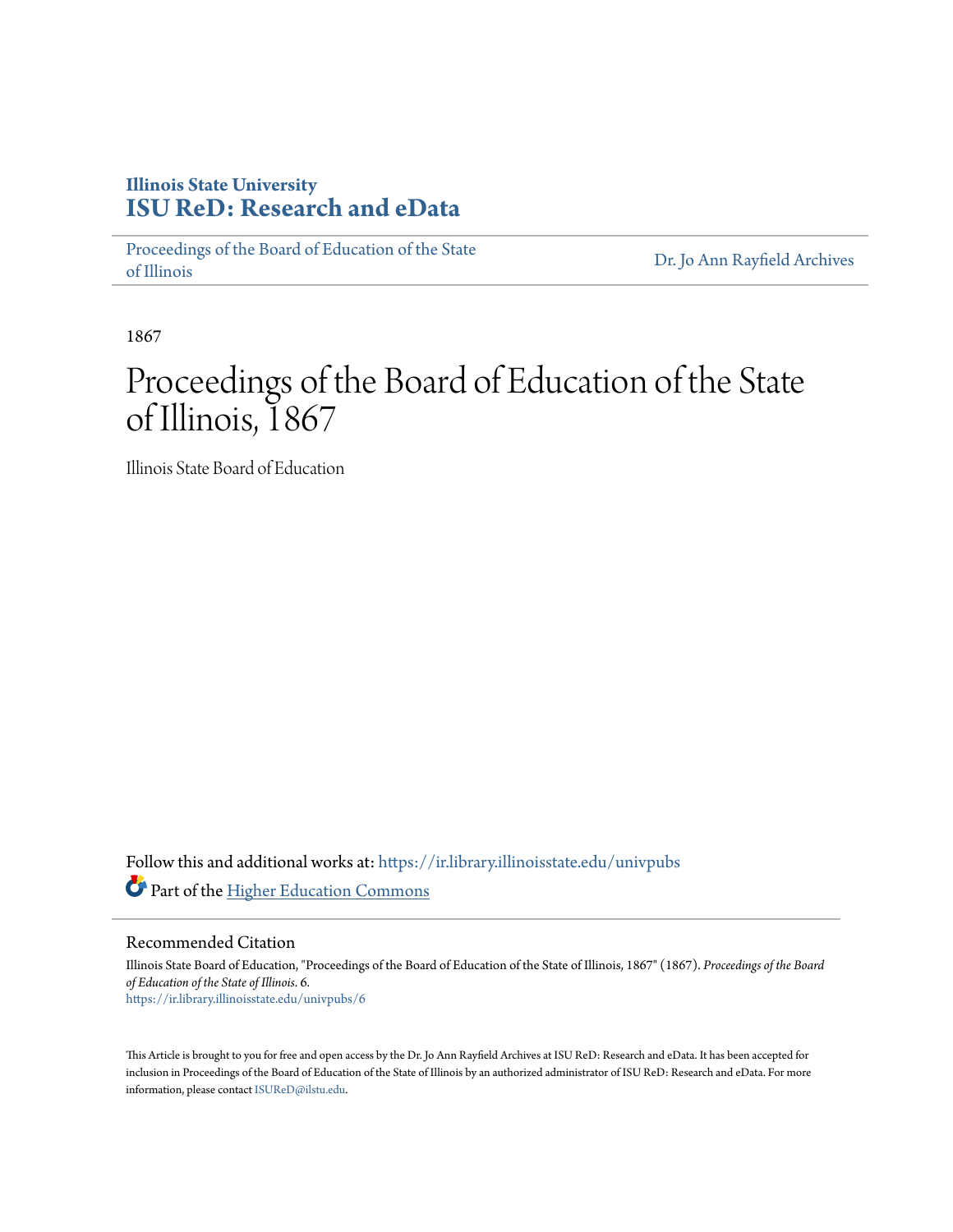### **Illinois State University [ISU ReD: Research and eData](https://ir.library.illinoisstate.edu?utm_source=ir.library.illinoisstate.edu%2Funivpubs%2F6&utm_medium=PDF&utm_campaign=PDFCoverPages)**

[Proceedings of the Board of Education of the State](https://ir.library.illinoisstate.edu/univpubs?utm_source=ir.library.illinoisstate.edu%2Funivpubs%2F6&utm_medium=PDF&utm_campaign=PDFCoverPages) [of Illinois](https://ir.library.illinoisstate.edu/univpubs?utm_source=ir.library.illinoisstate.edu%2Funivpubs%2F6&utm_medium=PDF&utm_campaign=PDFCoverPages)

[Dr. Jo Ann Rayfield Archives](https://ir.library.illinoisstate.edu/arch?utm_source=ir.library.illinoisstate.edu%2Funivpubs%2F6&utm_medium=PDF&utm_campaign=PDFCoverPages)

1867

# Proceedings of the Board of Education of the State of Illinois, 1867

Illinois State Board of Education

Follow this and additional works at: [https://ir.library.illinoisstate.edu/univpubs](https://ir.library.illinoisstate.edu/univpubs?utm_source=ir.library.illinoisstate.edu%2Funivpubs%2F6&utm_medium=PDF&utm_campaign=PDFCoverPages) Part of the [Higher Education Commons](http://network.bepress.com/hgg/discipline/1245?utm_source=ir.library.illinoisstate.edu%2Funivpubs%2F6&utm_medium=PDF&utm_campaign=PDFCoverPages)

Recommended Citation

Illinois State Board of Education, "Proceedings of the Board of Education of the State of Illinois, 1867" (1867). *Proceedings of the Board of Education of the State of Illinois*. 6. [https://ir.library.illinoisstate.edu/univpubs/6](https://ir.library.illinoisstate.edu/univpubs/6?utm_source=ir.library.illinoisstate.edu%2Funivpubs%2F6&utm_medium=PDF&utm_campaign=PDFCoverPages)

This Article is brought to you for free and open access by the Dr. Jo Ann Rayfield Archives at ISU ReD: Research and eData. It has been accepted for inclusion in Proceedings of the Board of Education of the State of Illinois by an authorized administrator of ISU ReD: Research and eData. For more information, please contact [ISUReD@ilstu.edu.](mailto:ISUReD@ilstu.edu)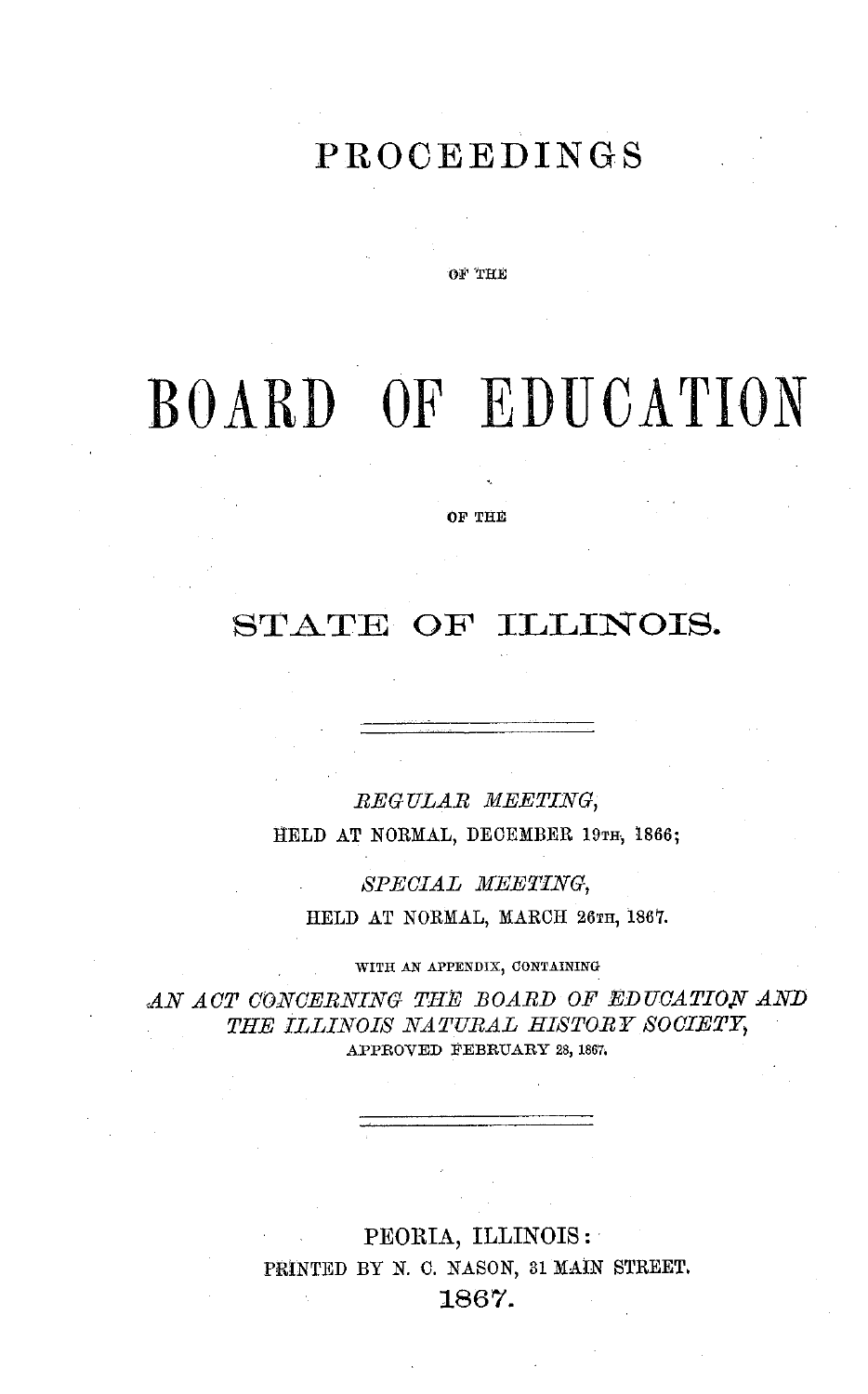### **PROCEEDINGS**

OF 'THE

# BOARD **OF** EDUCATION

OF THE

### STATE **OF ILLINOIS.**

*REG ULAR MEETING,* HELD AT NORMAL, DECEMBER 19TH, 1866;

*SPECIAL MEETING,* HELD AT NORMAL, MARCH 26TH, 1867.

WITH AN APPENDIX, CONTAINING

AN ACT CONCERNING THE BOARD OF EDUCATION AND THE ILLINOIS NATURAL HISTORY SOCIETY, APPROVED FEBRUARY 28, 1867.

> PEORIA, ILLINOIS: PRINTED BY N. C. NASON, 31 MAIN STREET. 1867.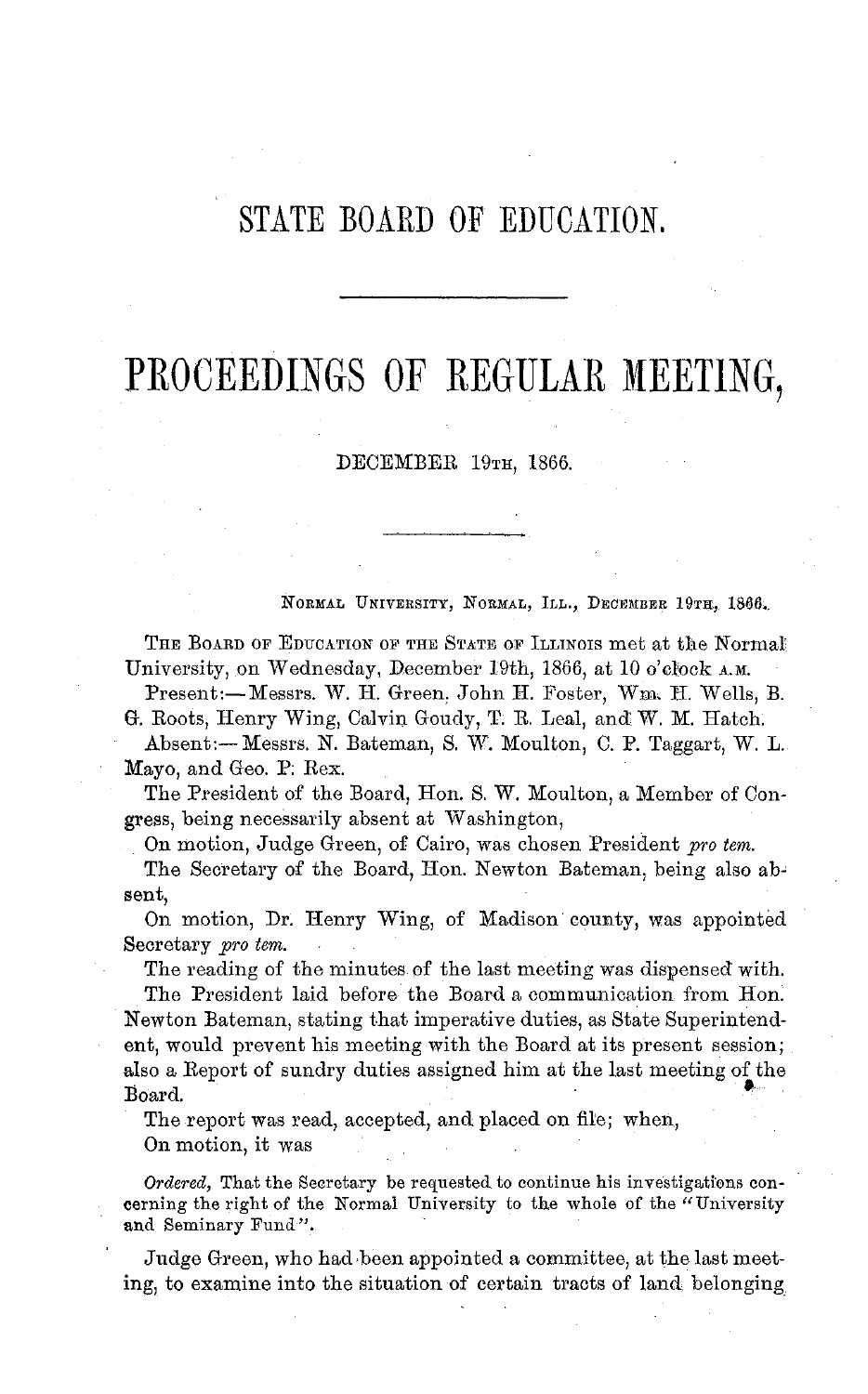### STATE BOARD OF EDUCATION.

## PROCEEDINGS OF REGULAR **MEETING,**

DECEMBER 19TH, 1866.

NORMAL UNIVERSITY, NORMAL, ILL., DECEMBER 19TH, 1866.

THE BOARD OF EDUCATION OF **THE** STATE OF ILLINOIS met at the Normal, University, on Wednesday, December 19th, 1866, at 10 o'clock **A.M.**

Present:-Messrs. W. H. Green, John H. Foster, Wm. H. Wells, B. G. Roots, Henry Wing, Calvin Goudy, T. R. Leal, and W. M. Hatch.

Absent:- Messrs. N. Bateman, S. W. Moulton, C. P. Taggart, W. L. Mayo, and Geo. P; Rex.

The President of the Board, Hon. S. W. Moulton, a Member of Congress, being necessarily absent at Washington,

On motion, Judge Green, of Cairo, was chosen President *pro tem.*

The Secretary of the Board, Hon. Newton Bateman, being also absent,

On motion, Dr. Henry Wing, of Madison county, was appointed Secretary *pro tem.* 

The reading of the minutes of the last meeting was dispensed with.

The President laid before the Board a communication from Hon. Newton Bateman, stating that imperative duties, as State Superintendent, would prevent his meeting with the Board at its present session; also a Report of sundry duties assigned him at the last meeting of the Board.

The report was read, accepted, and placed on file; when,

On motion, it was

*Ordered,* That the Secretary be requested to continue his investigations concerning the right of the Normal University to the whole of the "University" and Seminary Fund".

Judge Green, who had been appointed a committee, at the last meeting, to examine into the situation of certain tracts of land belonging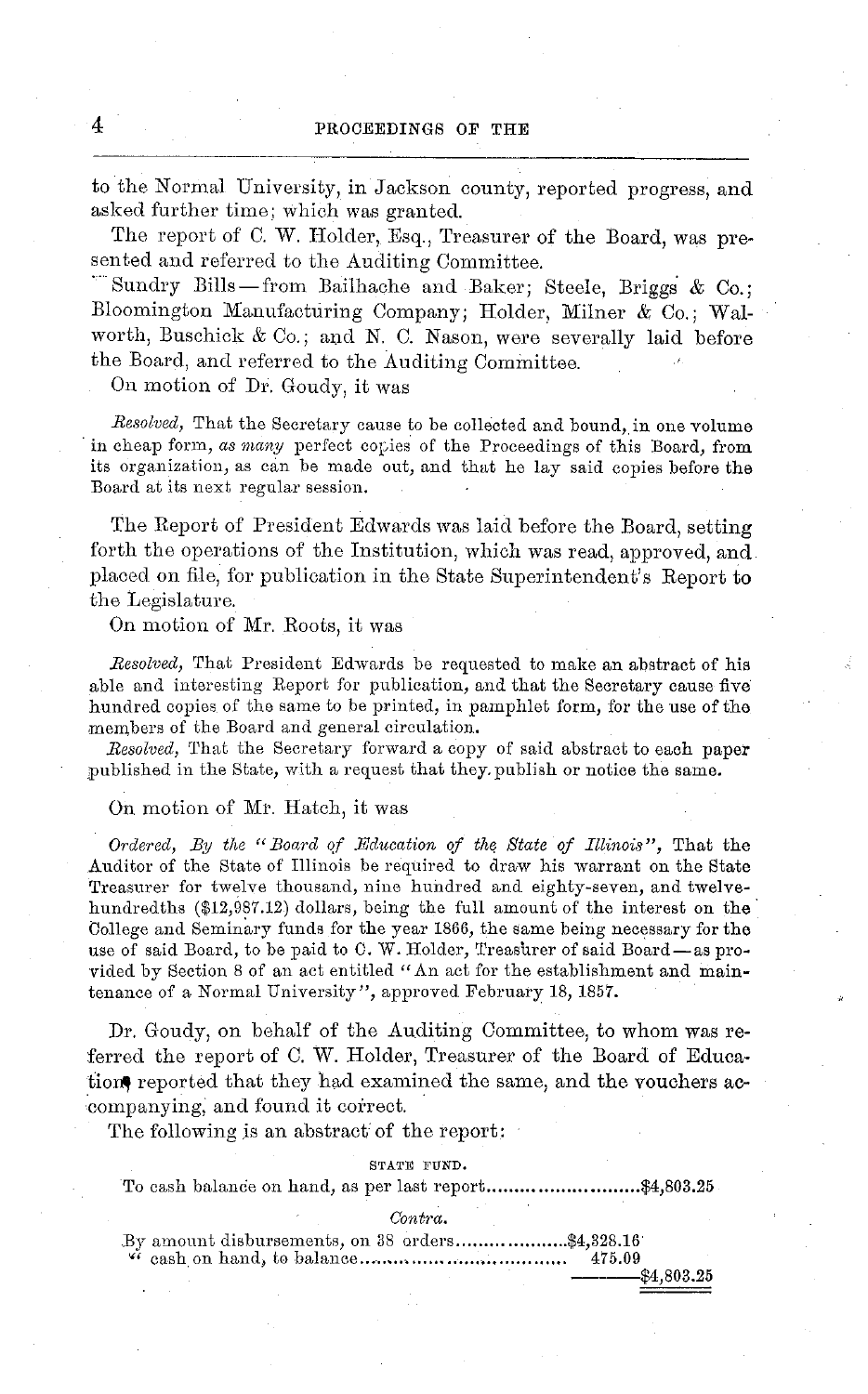to the Normal University, in Jackson county, reported progress, and asked further time; which was granted.

The report of C. W. Holder, Esq., Treasurer of the Board, was presented and referred to the Auditing Committee.

Sundry Bills-from Bailhache and Baker; Steele, Briggs & Co.; Bloomington Manufacturing Company; Holder, Milner & Co.; Walworth, Buschick  $& Co.;$  and N. C. Nason, were severally laid before the Board, and referred to the Auditing Committee.

On motion of Dr. Goudy, it was

*Resolved,* That the Secretary cause to be collected and bound, in one volume in cheap form, *as many* perfect copies of the Proceedings of this Board, from its organization, as can be made out, and that he lay said copies before the Board at its next regular session.

The Report of President Edwards was laid before the Board, setting forth the operations of the Institution, which was read, approved, and placed on file, for publication in the State Superintendent's Report to the Legislature.

On motion of Mr. Roots, it was

*Resolved,* That President Edwards be requested to make an abstract of his able and interesting Report for publication, and that the Secretary cause five hundred copies of the same to be printed, in pamphlet form, for the use of the members of the Board and general circulation.

*.Resolved,* That the Secretary forward a copy of said abstract to each paper published in the State, with a request that they, publish or notice the same.

On motion of Mr. Hatch, it was

*Ordered, By the "Board qf Education of the State of Illinois",* That the Auditor of the State of Illinois be required to draw his warrant on the State Treasurer for twelve thousand, nine hundred and eighty-seven, and twelvehundredths (\$12,987.12) dollars, being the full amount of the interest on the College and Seminary funds for the year 1866, the same being necessary for the use of said Board, to be paid to C. W. Holder, Treasurer of said Board-as provided by Section 8 of an act entitled "An act for the establishment and maintenance of a Normal University", approved February 18, 1857.

Dr. Goudy, on behalf of the Auditing Committee, to whom was referred the report of C. W. Holder, Treasurer of the Board of Education, reported that they had examined the same, and the vouchers accompanying, and found it correct.

The following is an abstract of the report:

#### STATE FUND.

To cash balance on hand, as per last report...............................\$4,803.25

*Contra.*

.By amount disbursements, on 38 orders ....................\$4,328.16' ' cash on hand, to balance..................................... 475.09

\$4,803.25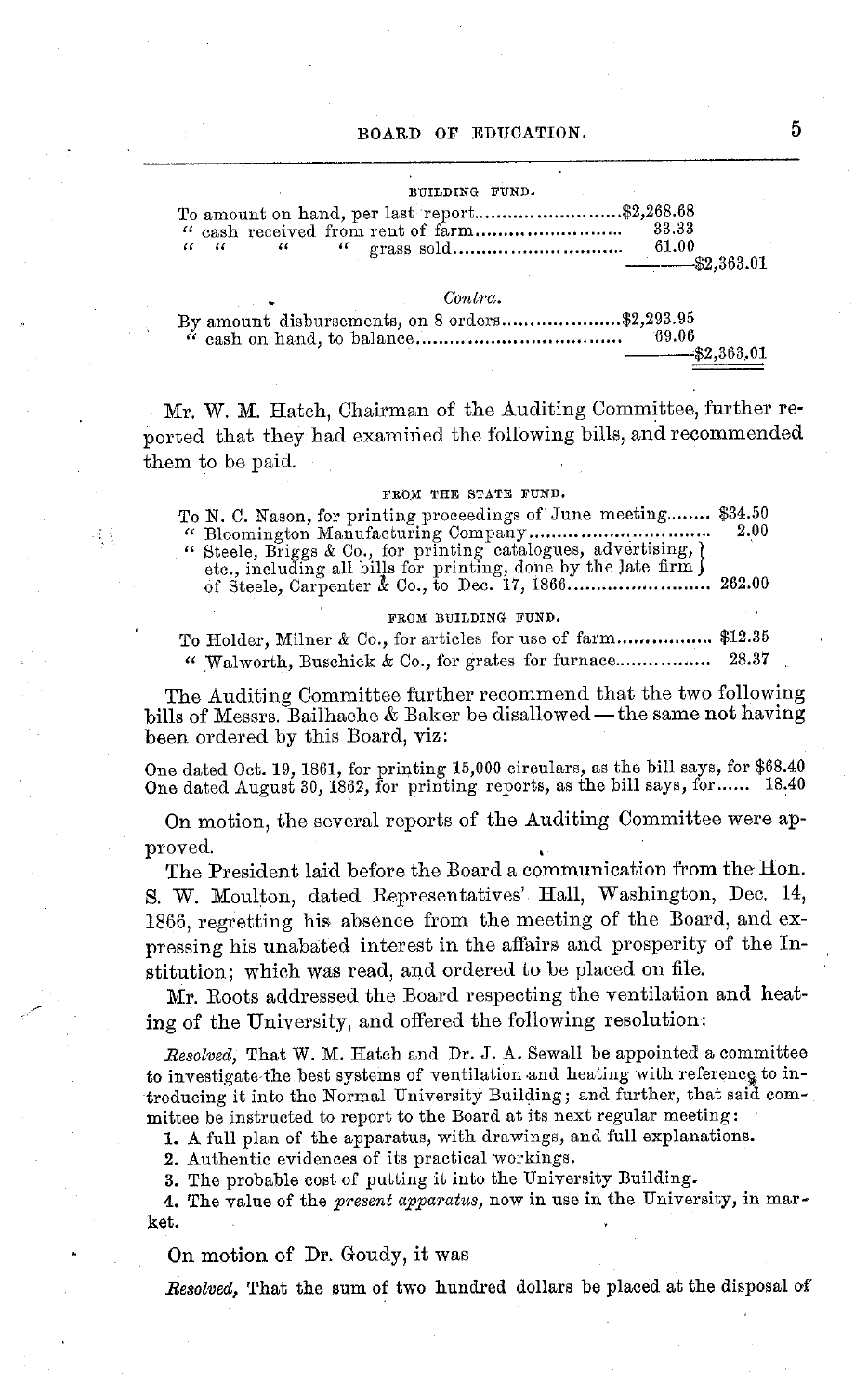### BUILDING FUND. To amount on hand, per last report .......................... \$2,268.68 *"* cash received from rent of farm .......................... 33.33 *"* <sup>t</sup> *" " "* grass sold .............................. 61.00 ----- \$2,363.01  $Contra.$ By amount disbursements, on 8 orders.....................\$2,293.95 " cash on hand, to balance ...................... ............ 69.06 --- \$2,363.01

Mr. W. M. Hatch, Chairman of the Auditing Committee, further reported that they had examined the following bills, and recommended them to be paid.

#### FROM THE STATE FUND.

To N. C. Nason, for printing proceedings of June meeting........ \$34.50 "Bloomington Manufacturing Company................................. 2.00 " Steele, Briggs & Co., for printing catalogues, advertising, I etc., including all bills for printing, done by the late firm J of Steele, Carpenter A Co., to Dec. 17, 1866 ....................... 262.00

#### FROM BUILDING FUND.

To Holder, Milner & Co., for articles for use of farm................. \$12.35 Walworth, Buschick & Co., for grates for furnace................. 28.37

The Auditing Committee further recommend that the two following bills of Messrs. Bailhache & Baker be disallowed-the same not having been ordered by this Board, viz:

One dated Oct. 19, 1861, for printing 15,000 circulars, as the bill says, for \$68.40 One dated August 30, 1862, for printing reports, as the bill says, for...... 18.40

On motion, the several reports of the Auditing Committee were approved.

The President laid before the Board a communication from the Hon. S. W. Moulton, dated Representatives' Hall, Washington, Dec. 14, 1866, regretting his absence from the meeting of the Board, and expressing his unabated interest in the affairs and prosperity of the Institution; which was read, and ordered to be placed on file.

Mr. Roots addressed the Board respecting the ventilation and heating of the University, and offered the following resolution:

*Resolved,* That W. M. Hatch and Dr. J. A. Sewall be appointed a committee to investigate the best systems of ventilation and heating with reference to introducing it into the Normal University Building; and further, that said committee be instructed to report to the Board at its next regular meeting:

1. A full plan of the apparatus, with drawings, and full explanations.

2. Authentic evidences of its practical workings.

3. The probable cost of putting it into the University Building.

4. The value of the *present apparatus,* now in use in the University, in market.

On motion of Dr. Goudy, it was

接受

*Resolved,* That the sum of two hundred dollars be placed at the disposal of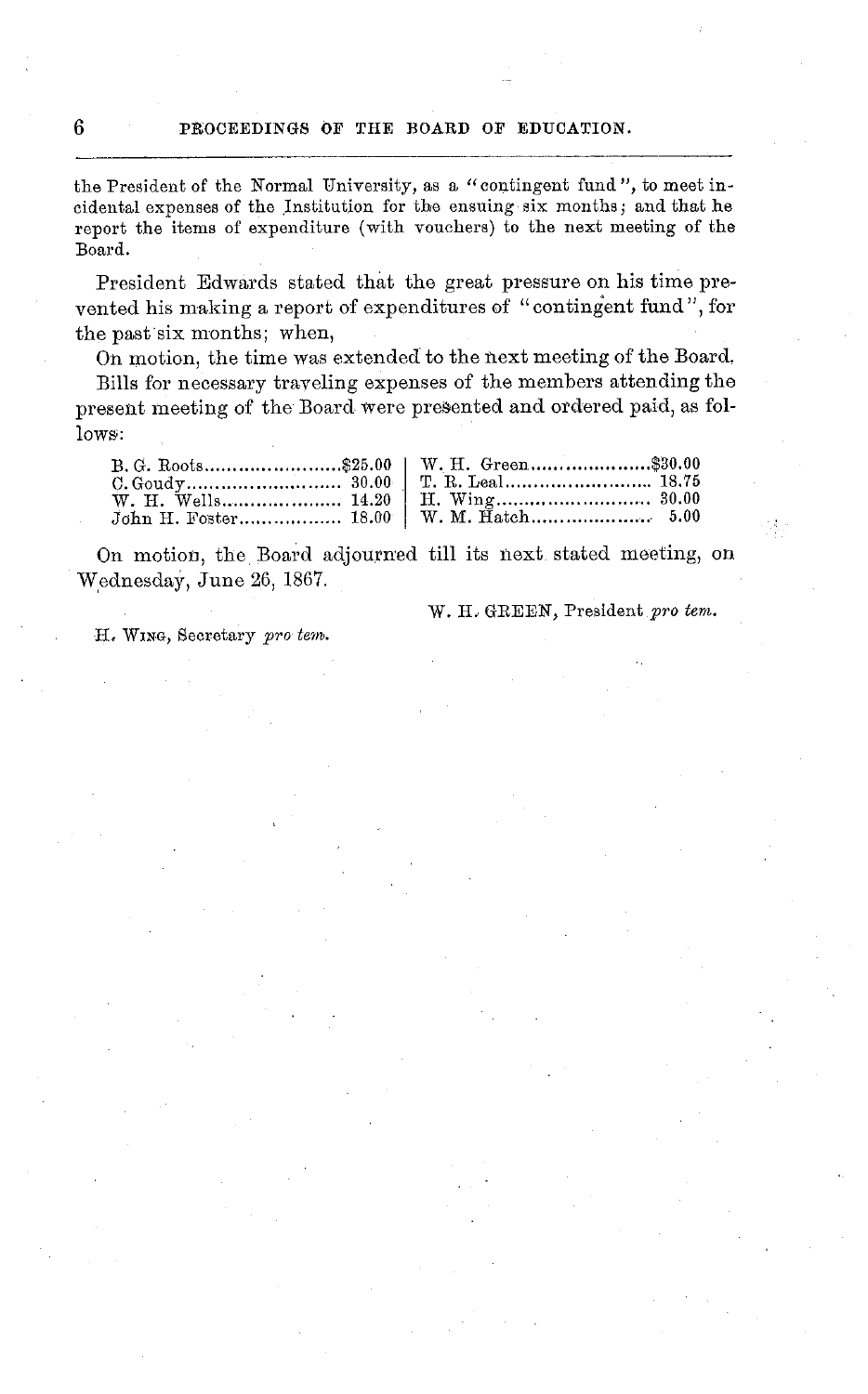the President of the Normal University, as a "contingent fund ", to meet incidental expenses of the Institution for the ensuing six months; and that he report the items of expenditure (with vouchers) to the next meeting of the Board.

President Edwards stated that the great pressure on his time prevented his making a report of expenditures of "contingent fund", for the past six months; when,

On motion, the time was extended to the next meeting of the Board.

Bills for necessary traveling expenses of the members attending the present meeting of the Board were presented and ordered paid, as follows;:

| John H. Foster 18.00   W. M. Hatch 5.00 |
|-----------------------------------------|

On motion, the Board adjourned till its next stated meeting, on Wednesday, June 26, 1867.

W. H. GREEN, President pro tem.

H, WING, Secretary *pro tern.*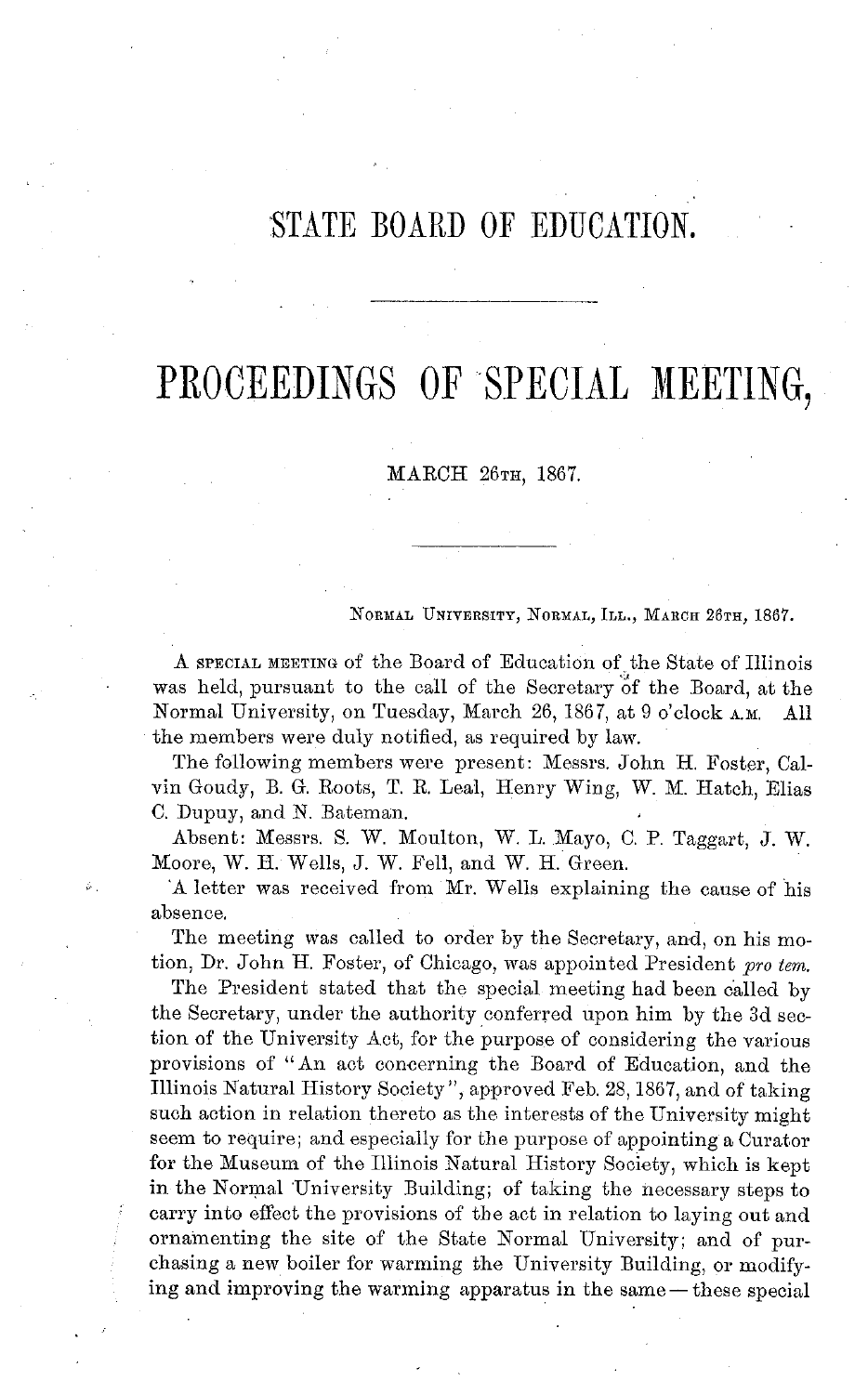### STATE BOARD OF EDUCATION.

## PROCEEDINGS OF SPECIAL **MEETING,**

MARCH **26TH,** 1867.

#### **NORMAL** UNIVERSITY, **NORMAL,** ILL., MARCH 26TH, 1867.

A SPECIAL MEETING of the Board of Education of the State of Illinois was held, pursuant to the call of the Secretary of the Board, at the Normal University, on Tuesday, March 26, 1867, at 9 o'clock A.M. All the members were duly notified, as required by law.

The following members were present: Messrs. John H. Foster, Calvin Goudy, B. G. Roots, T. R. Leal, Henry Wing, W. M. Hatch, Elias C. Dupuy, and N. Bateman.

Absent: Messrs. S. W. Moulton, W. L. Mayo, C. P. Taggart, J. W. Moore, W. H. Wells, J. W. Fell, and W. H. Green.

'A letter was received from Mr. Wells explaining the cause of his absence.

The meeting was called to order by the Secretary, and, on his motion, Dr. John H. Foster, of Chicago, was appointed President *pro tem.*

The President stated that the special meeting had been called by the Secretary, under the authority conferred upon him by the 3d section of the University Act, for the purpose of considering the various provisions of "An act concerning the Board of Education, and the Illinois Natural History Society", approved Feb. 28,1867, and of taking such action in relation thereto as the interests of the University might seem to require; and especially for the purpose of appointing a Curator for the Museum of the Illinois Natural History Society, which is kept in the Normal University Building; of taking the necessary steps to carry into effect the provisions of the act in relation to laying out and ornamenting the site of the State Normal University; and of purchasing a new boiler for warming the University Building, or modifying and improving the warming apparatus in the same - these special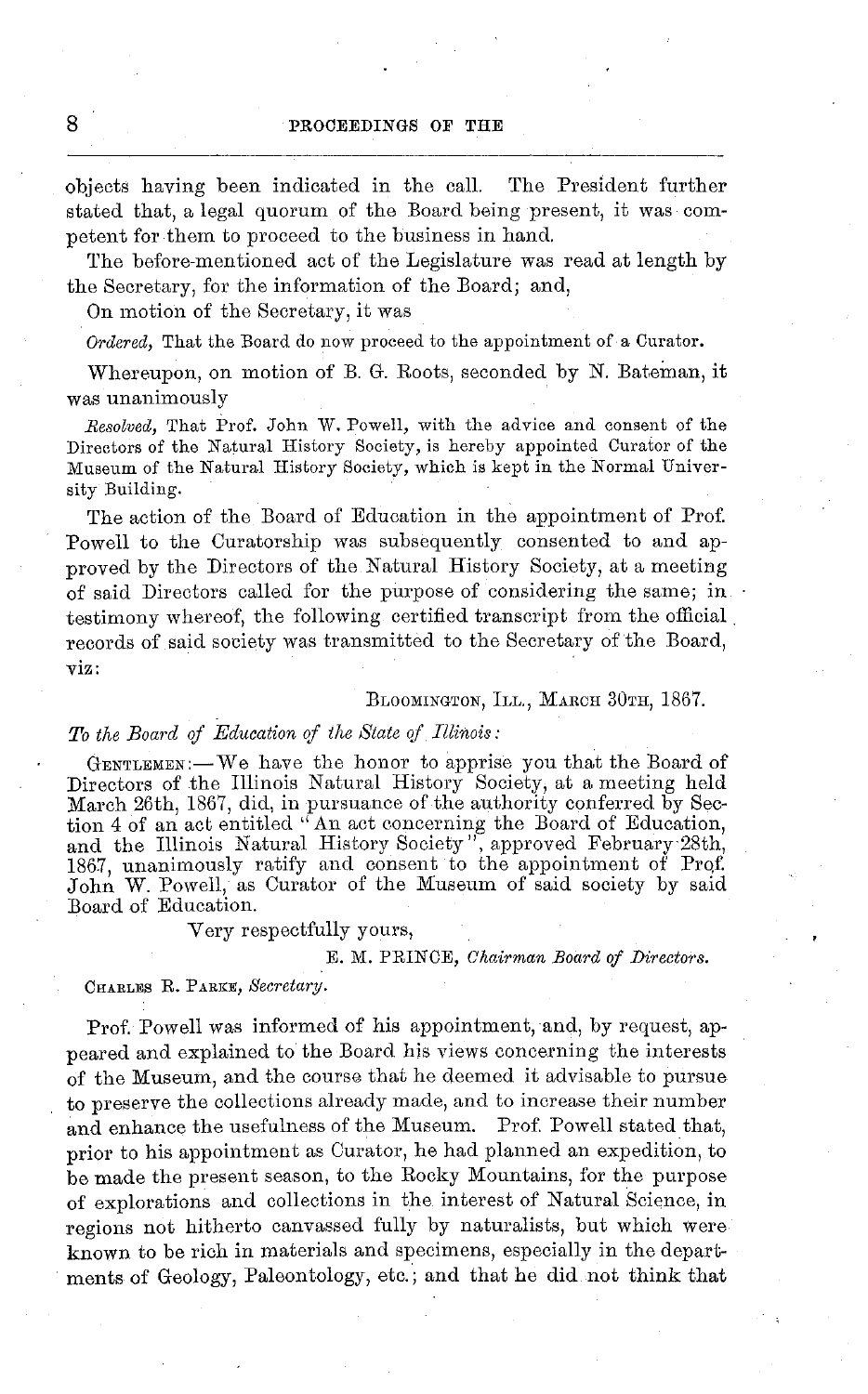objects having been indicated in the call. The President further stated that, a legal quorum of the Board being present, it was competent for them to proceed to the business in hand.

The before-mentioned act of the Legislature was read at length by the Secretary, for the information of the Board; and,

On motion of the Secretary, it was

*Ordered,* That the Board do now proceed to the appointment of a Curator.

Whereupon, on motion of B. G. Roots, seconded by N. Bateman, it was unanimously

*Resolved,* That Prof. John W. Powell, with the advice and consent of the Directors of the Natural History Society, is hereby appointed Curator of the Museum of the Natural History Society, which is kept in the Normal University Building.

The action of the Board of Education in the appointment of Prof. Powell to the Curatorship was subsequently consented to and approved by the Directors of the Natural History Society, at a meeting of said Directors called for the purpose of considering the same; in testimony whereof, the following certified transcript from the official records of said society was transmitted to the Secretary of the Board, viz:

#### BLOOMINGTON, ILL., MARCH 30TH, 1867.

### *To the Board of Education of the State of Illinois:*

GENTLEMEN:-We have the honor to apprise you that the Board of Directors of the Illinois Natural History Society, at a meeting held March 26th, 1867, did, in pursuance of the authority conferred by Section 4 of an act entitled "An act concerning the Board of Education, and the Illinois Natural History Society", approved February 28th, 1867, unanimously ratify and consent to the appointment of Prqf. John W. Powell, as Curator of the Museum of said society by said Board of Education.

Very respectfully yours,

### E. M. PRINCE, *Chairman Board of Directors.*

#### CHARLES R. **PARKE,** *Secretary.*

Prof. Powell was informed of his appointment, and, by request, appeared and explained to the Board his views concerning the interests of the Museum, and the course that he deemed it advisable to pursue to preserve the collections already made, and to increase their number and enhance the usefulness of the Museum. Prof. Powell stated that, prior to his appointment as Curator, he had planned an expedition, to be made the present season, to the Rocky Mountains, for the purpose of explorations and collections in the interest of Natural Science, in regions not hitherto canvassed fully by naturalists, but which were known to be rich in materials and specimens, especially in the departments of Geology, Paleontology, etc.; and that he did not think that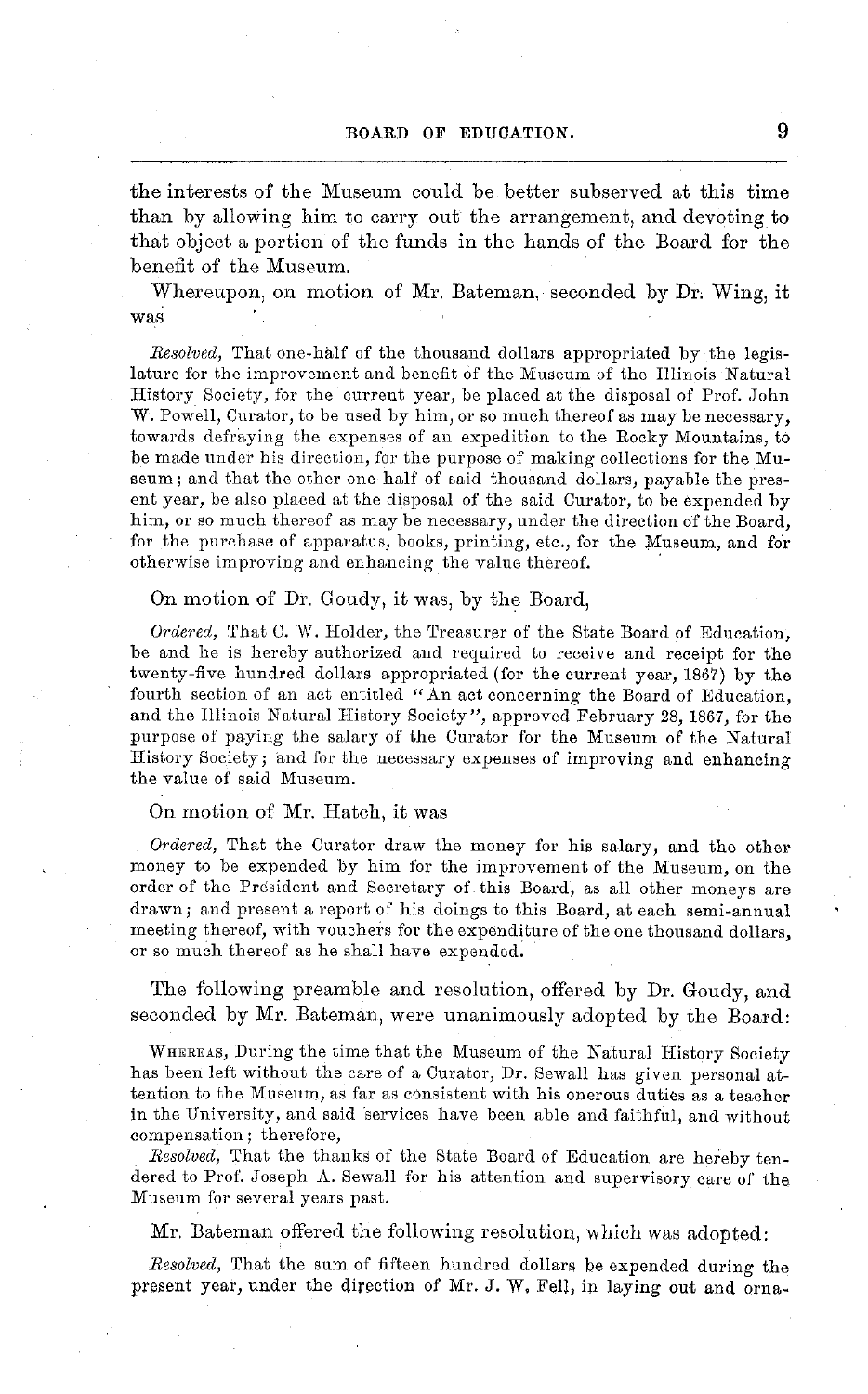the interests of the Museum could be better subserved at this time than by allowing him to carry out the arrangement, and devoting to that object a portion of the funds in the hands of the Board for the benefit of the Museum.

Whereupon, on motion of Mr. Bateman, seconded by Dr. Wing, it was

*Resolved,* That one-half of the thousand dollars appropriated by the legislature for the improvement and benefit of the Museum of the Illinois Natural History Society, for the current year, be placed at the disposal of Prof. John W. Powell, Curator, to be used by him, or so much thereof as may be necessary. towards defraying the expenses of an expedition to the Rocky Mountains, to be made under his direction, for the purpose of making collections for the Museum; and that the other one-half of said thousand dollars, payable the present year, be also placed at the disposal of the said Curator, to be expended by him, or so much thereof as may be necessary, under the direction of the Board, for the purchase of apparatus, books, printing, etc., for the Museum, and for otherwise improving and enhancing the value thereof.

On motion of Dr. Goudy, it was, by the Board,

*Ordered,* That C. W. Holder, the Treasurer of the State Board of Education, be and he is hereby authorized and required to receive and receipt for the twenty-five hundred dollars appropriated (for the current year, 1867) by the fourth section of an act entitled "An act concerning the Board of Education, and the Illinois Natural History Society", approved February 28, 1867, for the purpose of paying the salary of the Curator for the Museum of the Natural History Society; and for the necessary expenses of improving and enhancing the value of said Museum.

### On motion of Mr. Hatch, it was

*Ordered,* That the Curator draw the money for his salary, and the other money to be expended by him for the improvement of the Museum, on the order of the President and Secretary of this Board, as all other moneys are drawn; and present a report of his doings to this Board, at each semi-annual meeting thereof, with vouchers for the expenditure of the one thousand dollars, or so much thereof as he shall have expended.

The following preamble and resolution, offered by Dr. Goudy, and seconded by Mr. Bateman, were unanimously adopted by the Board:

WHEREAS, During the time that the Museum of the Natural History Society has been left without the care of a Curator, Dr. Sewall has given personal attention to the Museum, as far as consistent with his onerous duties as a teacher in the University, and said services have been able and faithful, and without compensation; therefore,

*Resolved,* That the thanks of the State Board of Education are hereby tendered to Prof. Joseph A. Sewall for his attention and supervisory care of the Museum for several years past.

Mr. Bateman offered the following resolution, which was adopted:

*Resolved,* That the sum of fifteen hundred dollars be expended during the present year, under the direction of Mr. J. W. Fell, in laying out and orna-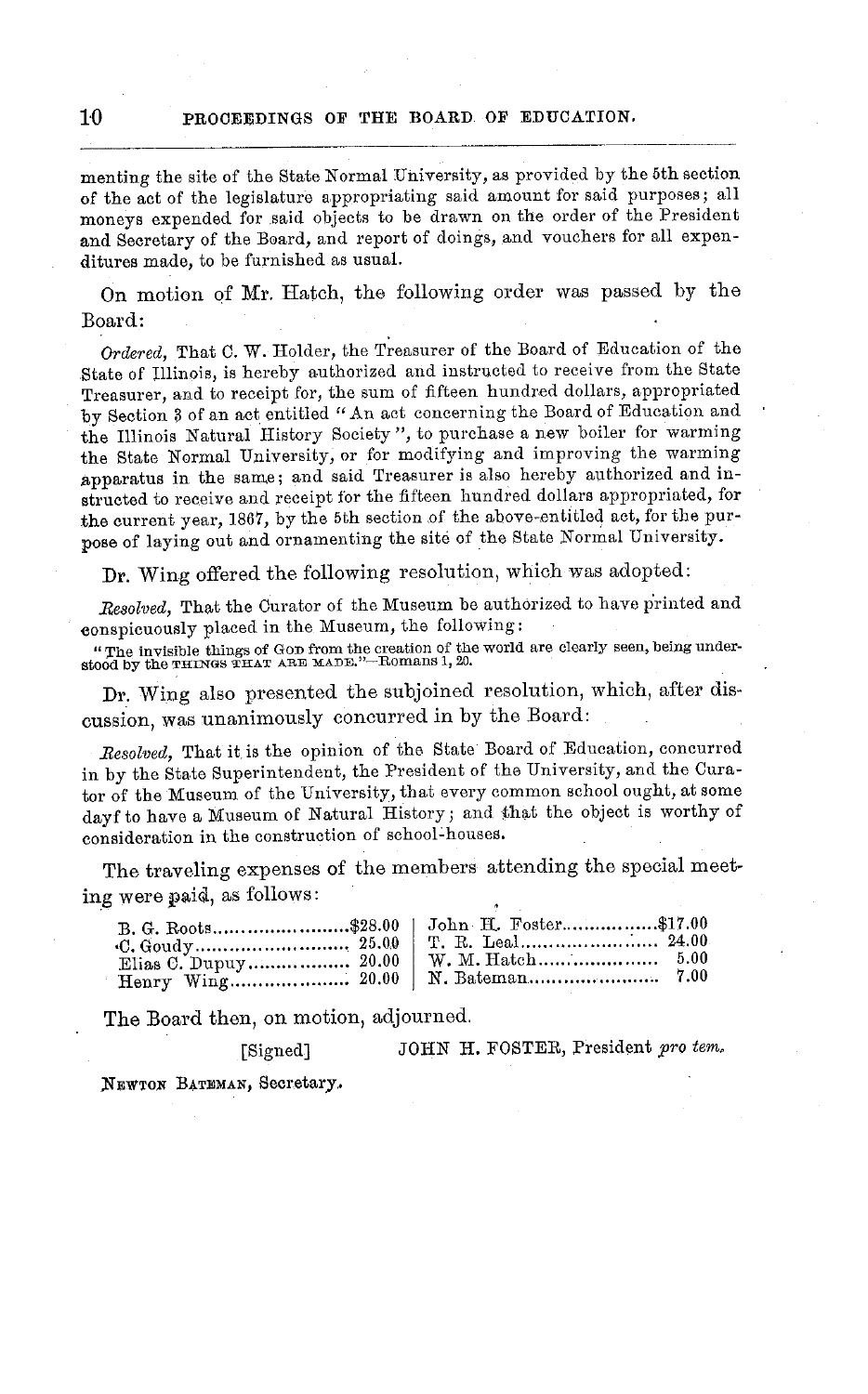### **10 PROCEEDINGS OF THE BOARD OF EDUCATION.**

menting the site of the State Normal University, as provided by the 5th section of the act of the legislature appropriating said amount for said purposes; all moneys expended for said objects to be drawn on the order of the President and Secretary of the Board, and report of doings, and vouchers for all expenditures made, to be furnished as usual.

On motion of Mr. Hatch, the following order was passed by the Board:

*Ordered,* That C. W. Holder, the Treasurer of the Board of Education of the State of Illinois, is hereby authorized and instructed to receive from the State Treasurer, and to receipt for, the sum of fifteen hundred dollars, appropriated by Section 3 of an act entitled *"* An act concerning the Board of Education and the Illinois Natural History Society ", to purchase a new boiler for warming the State Normal University, or for modifying and improving the warming apparatus in the same; and said Treasurer is also hereby authorized and instructed to receive and receipt for the fifteen hundred dollars appropriated, for the current year, 1867, by the 5th section of the above-entitled act, for the purpose of laying out and ornamenting the site of the State Normal University.

Dr. Wing offered the following resolution, which was adopted:

*Resolved,* That the Curator of the Museum be authorized to have printed and conspicuously placed in the Museum, the following:

"The invisible things of GOD from the creation of the world are clearly seen, being under-stood by the THINGS THAT ARE MADE."--Romans 1, 20.

Dr. Wing also presented the subjoined resolution, which, after discussion, was unanimously concurred in by the Board:

*Resolved,* That it is the opinion of the State Board of Education, concurred in by the State Superintendent, the President of the University, and the Curator of the Museum of the University, that every common school ought, at some dayf to have a Museum of Natural History; and that the object is worthy of consideration in the construction of school-houses.

The traveling expenses of the members attending the special meeting were paid, as follows:

| C. Goudy………………………… 25.00 |  |
|--------------------------|--|
| Elias C. Dupuy 20.00     |  |
|                          |  |

The Board then, on motion, adjourned,

[Signed] JOHN H. FOSTER, President *pro tenm*

XEWTON **BATEMAN,** Secretary.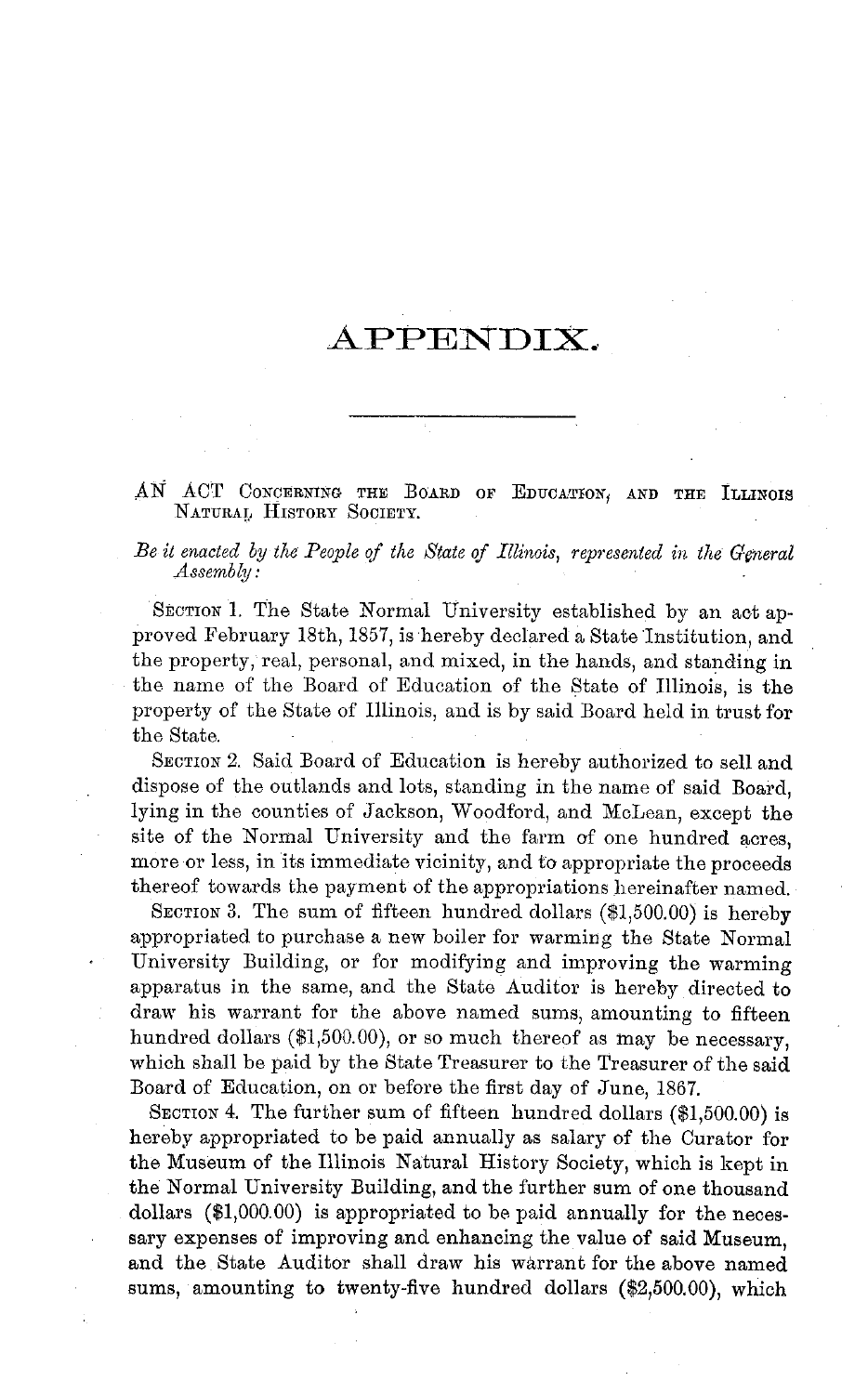### APPENDIX.

AN ACT CONCERNING THE BOARD OF EDUCATION, AND THE ILLINOIS **NATURAL** HISTORY SOCIETY.

*Be it enacted by the People of the State of Illinois, represented in the General Assembly:*

SECTION 1. The State Normal University established by an act approved February 18th, 1857, is hereby declared a State Institution, and the property, real, personal, and mixed, in the hands, and standing in the name of the Board of Education of the State of Illinois, is the property of the State of Illinois, and is by said Board held in trust for the State.

SECTION 2. Said Board of Education is hereby authorized to sell and dispose of the outlands and lots, standing in the name of said Board, lying in the counties of Jackson, Woodford, and McLean, except the site of the Normal University and the farm of one hundred acres, more or less, in its immediate vicinity, and to appropriate the proceeds thereof towards the payment of the appropriations hereinafter named.

SECTION 3. The sum of fifteen hundred dollars (\$1,500.00) is hereby appropriated to purchase a new boiler for warming the State Normal University Building, or for modifying and improving the warming apparatus in the same, and the State Auditor is hereby directed to draw his warrant for the above named sums, amounting to fifteen hundred dollars (\$1,500.00), or so much thereof as may be necessary, which shall be paid by the State Treasurer to the Treasurer of the said Board of Education, on or before the first day of June, 1867.

SECTION 4. The further sum of fifteen hundred dollars (\$1,500.00) is hereby appropriated to be paid annually as salary of the Curator for the Museum of the Illinois Natural History Society, which is kept in the Normal University Building, and the further sum of one thousand dollars (\$1,000.00) is appropriated to be paid annually for the necessary expenses of improving and enhancing the value of said Museum, and the State Auditor shall draw his warrant for the above named sums, amounting to twenty-five hundred dollars (\$2,500.00), which